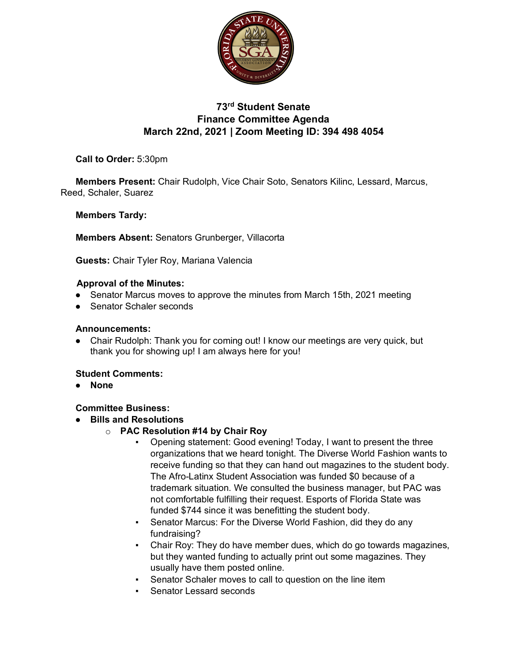

# **73rd Student Senate Finance Committee Agenda March 22nd, 2021 | Zoom Meeting ID: 394 498 4054**

**Call to Order:** 5:30pm

**Members Present:** Chair Rudolph, Vice Chair Soto, Senators Kilinc, Lessard, Marcus, Reed, Schaler, Suarez

**Members Tardy:** 

**Members Absent:** Senators Grunberger, Villacorta

**Guests:** Chair Tyler Roy, Mariana Valencia

#### **Approval of the Minutes:**

- Senator Marcus moves to approve the minutes from March 15th, 2021 meeting
- Senator Schaler seconds

#### **Announcements:**

● Chair Rudolph: Thank you for coming out! I know our meetings are very quick, but thank you for showing up! I am always here for you!

#### **Student Comments:**

● **None**

#### **Committee Business:**

- **Bills and Resolutions**
	- o **PAC Resolution #14 by Chair Roy**
		- Opening statement: Good evening! Today, I want to present the three organizations that we heard tonight. The Diverse World Fashion wants to receive funding so that they can hand out magazines to the student body. The Afro-Latinx Student Association was funded \$0 because of a trademark situation. We consulted the business manager, but PAC was not comfortable fulfilling their request. Esports of Florida State was funded \$744 since it was benefitting the student body.
		- Senator Marcus: For the Diverse World Fashion, did they do any fundraising?
		- Chair Roy: They do have member dues, which do go towards magazines, but they wanted funding to actually print out some magazines. They usually have them posted online.
		- Senator Schaler moves to call to question on the line item
		- **EXEC** Senator Lessard seconds